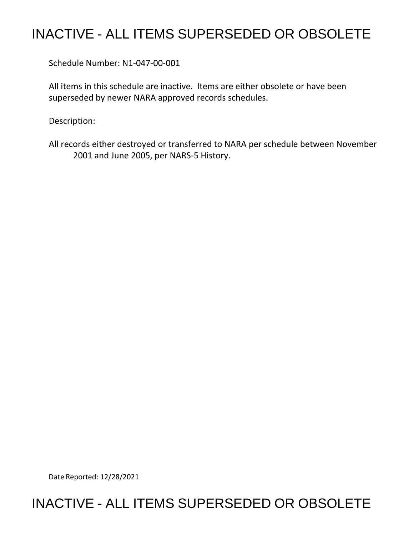# INACTIVE - ALL ITEMS SUPERSEDED OR OBSOLETE

Schedule Number: N1-047-00-001

All items in this schedule are inactive. Items are either obsolete or have been superseded by newer NARA approved records schedules.

Description:

All records either destroyed or transferred to NARA per schedule between November 2001 and June 2005, per NARS-5 History.

Date Reported: 12/28/2021

## INACTIVE - ALL ITEMS SUPERSEDED OR OBSOLETE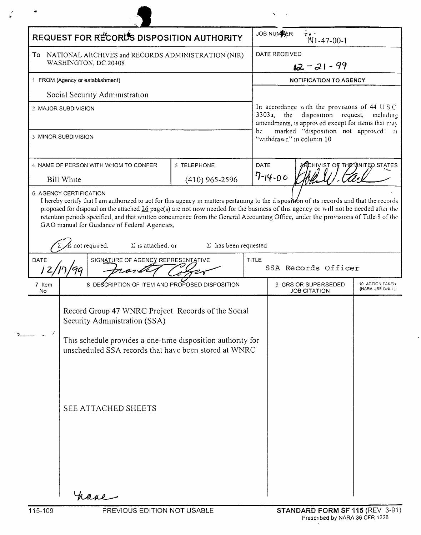| REQUEST FOR RECORDS DISPOSITION AUTHORITY                                     |                                                                                                                                                                                                                                                                           |                                                                                                                                                       | JOB NUMER<br>$N1-47-00-1$     |                                                                  |                                    |
|-------------------------------------------------------------------------------|---------------------------------------------------------------------------------------------------------------------------------------------------------------------------------------------------------------------------------------------------------------------------|-------------------------------------------------------------------------------------------------------------------------------------------------------|-------------------------------|------------------------------------------------------------------|------------------------------------|
| To NATIONAL ARCHIVES and RECORDS ADMINISTRATION (NIR)<br>WASHINGTON, DC 20408 |                                                                                                                                                                                                                                                                           | DATE RECEIVED<br>$12 - 21 - 99$                                                                                                                       |                               |                                                                  |                                    |
| 1 FROM (Agency or establishment)                                              |                                                                                                                                                                                                                                                                           |                                                                                                                                                       | <b>NOTIFICATION TO AGENCY</b> |                                                                  |                                    |
|                                                                               | Social Security Administration                                                                                                                                                                                                                                            |                                                                                                                                                       |                               |                                                                  |                                    |
| 2 MAJOR SUBDIVISION                                                           |                                                                                                                                                                                                                                                                           | In accordance with the provisions of 44 USC<br>3303a<br>the<br>disposition request,<br>including<br>amendments, is approved except for items that may |                               |                                                                  |                                    |
|                                                                               | 3 MINOR SUBDIVISION                                                                                                                                                                                                                                                       |                                                                                                                                                       | be                            | marked "disposition not approved" or<br>"withdrawn" in column 10 |                                    |
|                                                                               | 4 NAME OF PERSON WITH WHOM TO CONFER                                                                                                                                                                                                                                      | 5 TELEPHONE                                                                                                                                           | DATE                          |                                                                  | RCHIVIST OF THE UNITED STATES      |
|                                                                               | <b>Bill White</b>                                                                                                                                                                                                                                                         | $(410)$ 965-2596                                                                                                                                      |                               | $7 - 14 - 00$                                                    |                                    |
| DATE                                                                          | retention periods specified, and that written concurrence from the General Accounting Office, under the provisions of Title 8 of the<br>GAO manual for Guidance of Federal Agencies,<br>s not required,<br>$\Sigma$ is attached, or<br>SIGNATURE OF AGENCY REPRESENTATIVE | $\Sigma$ has been requested                                                                                                                           | <b>TITLE</b>                  | SSA Records Officer                                              |                                    |
| 12,<br>7 Item<br>No                                                           | 8 DESCRIPTION OF ITEM AND PROPOSED DISPOSITION                                                                                                                                                                                                                            |                                                                                                                                                       |                               | 9 GRS OR SUPERSEDED<br><b>JOB CITATION</b>                       | 10 ACTION TAKEN<br>(NARA USE ONLY) |
|                                                                               | Record Group 47 WNRC Project Records of the Social<br>Security Administration (SSA)                                                                                                                                                                                       |                                                                                                                                                       |                               |                                                                  |                                    |
|                                                                               | This schedule provides a one-time disposition authority for<br>unscheduled SSA records that have been stored at WNRC                                                                                                                                                      |                                                                                                                                                       |                               |                                                                  |                                    |
|                                                                               | SEE ATTACHED SHEETS                                                                                                                                                                                                                                                       |                                                                                                                                                       |                               |                                                                  |                                    |
|                                                                               |                                                                                                                                                                                                                                                                           |                                                                                                                                                       |                               |                                                                  |                                    |

 $\bar{\mathbf{v}}$  $\sim$  100  $\pm$ 

 $\boldsymbol{r}$ 

 $\bullet$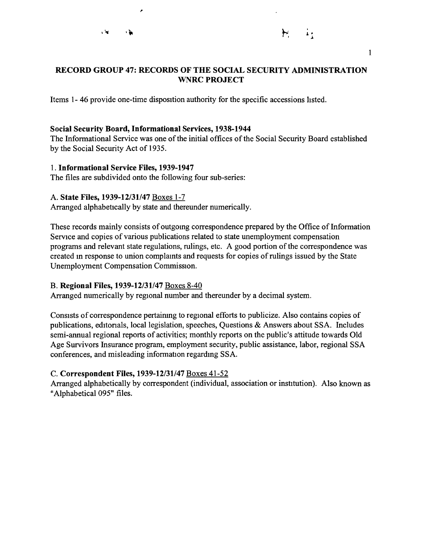×



#### 1

#### **RECORD GROUP 47: RECORDS OF THE SOCIAL SECURITY ADMINISTRATION WNRC PROJECT**

Items 1- 46 provide one-time disposition authority for the specific accessions hsted.

#### **Social Security Board, Informational Services, 1938-1944**

The Informational Service was one of the initial offices of the Social Security Board established by the Social Security Act of 1935.

#### 1. **Informational Service Files, 1939-1947**

The files are subdivided onto the following four sub-series:

#### A. **State Files, 1939-12/31/47** Boxes 1-7

Arranged alphabetically by state and thereunder numerically.

These records mainly consists of outgomg correspondence prepared by the Office of Information Service and copies of various publications related to state unemployment compensation programs and relevant state regulations, rulings, etc. A good portion of the correspondence was created m response to union complamts and requests for copies of rulings issued by the State Unemployment Compensation Commission.

## B. **Regional Files, 1939-12/31/47** Boxes 8-40

Arranged numerically by regional number and thereunder by a decimal system.

Consists of correspondence pertainmg to regional efforts to publicize. Also contains copies of publications, editonals, local legislation, speeches, Questions & Answers about SSA. Includes semi-annual regional reports of activities; monthly reports on the public's attitude towards Old Age Survivors Insurance program, employment security, public assistance, labor, regional SSA conferences, and misleading information regardmg SSA.

## C. **Correspondent Files, 1939-12/31/47** Boxes 41-52

Arranged alphabetically by correspondent (individual, association or institution). Also known as "Alphabetical 095" files.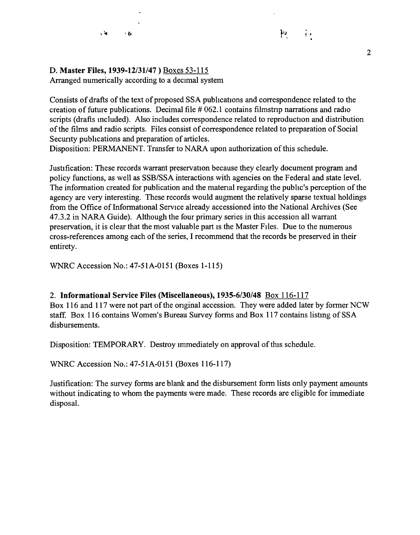## D. **Master Files, 1939-12/31/47)** Boxes 53-115

 $+$   $\hbar$ 

 $\mathbf{L}$ 

Arranged numerically according to a decimal system

Consists of drafts of the text of proposed SSA publications and correspondence related to the creation of future publications. Decimal file  $#062.1$  contains filmstrip narrations and radio scripts (drafts included). Also includes correspondence related to reproduction and distribution of the films and radio scripts. Files consist of correspondence related to preparation of Social Secunty publications and preparation of articles.

Disposition: PERMANENT. Transfer to NARA upon authorization of this schedule.

Justification: These records warrant preservation because they clearly document program and policy functions, as well as SSB/SSA interactions with agencies on the Federal and state level. The information created for publication and the matenal regarding the public's perception of the agency are very interesting. These records would augment the relatively sparse textual holdings from the Office of Informational Service already accessioned into the National Archives (See 47.3.2 in NARA Guide). Although the four primary series in this accession all warrant preservation, it is clear that the most valuable part is the Master Files. Due to the numerous cross-references among each of the series, I recommend that the records be preserved in their entirety.

WNRC Accession No.: 47-51A-0151 (Boxes 1-115)

## 2. **Informational Service Files (Miscellaneous), 1935-6/30/48** Box 116-117

Box 116 and 117 were not part of the onginal accession. They were added later by former NCW staff. Box 116 contains Women's Bureau Survey forms and Box 117 contains listmg of SSA disbursements.

Disposition: TEMPORARY. Destroy immediately on approval of this schedule.

WNRC Accession No.: 47-51A-0151 (Boxes 116-117)

Justification: The survey forms are blank and the disbursement form lists only payment amounts without indicating to whom the payments were made. These records are eligible for immediate disposal.

 $\mu_{\nu}$ 

 $\ddot{A}$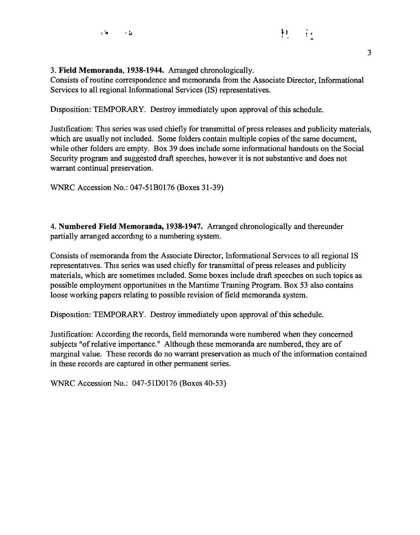Consists of routine correspondence and memoranda from the Associate Director, Informational Services to all regional Informational Services (IS) representatives.

Disposition: TEMPORARY. Destroy immediately upon approval of this schedule.

Justification: This series was used chiefly for transmittal of press releases and publicity materials, which are usually not included. Some folders contain multiple copies of the same document, while other folders are empty. Box 39 does include some informational handouts on the Social Security program and suggested draft speeches, however it is not substantive and does not warrant continual preservation.

WNRC Accession No.: 047-51B0176 (Boxes 31-39)

4. **Numbered Field Memoranda, 1938-1947.** Arranged chronologically and thereunder partially arranged accordmg to a numbering system.

Consists of memoranda from the Associate Director, Informational Services to all regional IS representatives. This series was used chiefly for transmittal of press releases and publicity materials, which are sometimes mcluded. Some boxes include draft speeches on such topics as possible employment opportunities m the Mantime Traming Program. Box 53 also contains loose working papers relating to possible revision of field memoranda system.

Disposition: TEMPORARY. Destroy immediately upon approval of this schedule.

Justification: According the records, field memoranda were numbered when they concerned subjects "of relative importance." Although these memoranda are numbered, they are of marginal value. These records do no warrant preservation as much of the information contained in these records are captured in other permanent series.

WNRC Accession No.: 047-51D0176 (Boxes 40-53)

..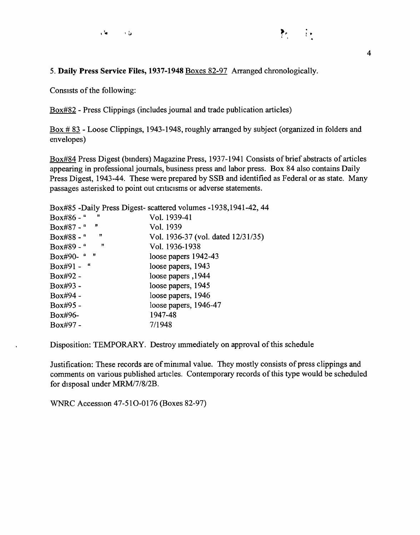5. **Daily Press Service Files, 1937-1948** Boxes 82-97 Arranged chronologically.

Consists of the following:

Box#82 - Press Clippings (includes journal and trade publication articles)

Box# 83 - Loose Clippings, 1943-1948, roughly arranged by subject (organized in folders and envelopes)

Box#84 Press Digest (binders) Magazine Press, 1937-1941 Consists of brief abstracts of articles appearing in professional journals, business press and labor press. Box 84 also contains Daily Press Digest, 1943-44. These were prepared by SSB and identified as Federal or as state. Many passages asterisked to point out criticisms or adverse statements.

Box#85 -Daily Press Digest- scattered volumes -1938,1941-42, 44

| ,,<br>Box#86 - " | Vol. 1939-41                       |
|------------------|------------------------------------|
| "<br>Box#87 - "  | Vol. 1939                          |
| ,,<br>Box#88 - " | Vol. 1936-37 (vol. dated 12/31/35) |
| "<br>Box#89 - "  | Vol. 1936-1938                     |
| - 13<br>Box#90-" | loose papers 1942-43               |
| Box#91 - "       | loose papers, 1943                 |
| Box#92 -         | 1944, loose papers                 |
| Box#93 -         | loose papers, 1945                 |
| Box#94 -         | loose papers, 1946                 |
| Box#95 -         | loose papers, 1946-47              |
| Box#96-          | 1947-48                            |
| Box#97 -         | 7/1948                             |

Disposition: TEMPORARY. Destroy immediately on approval of this schedule

Justification: These records are of mirumal value. They mostly consists of press clippings and comments on various published articles. Contemporary records of this type would be scheduled for disposal under MRM/7/8/2B.

WNRC Accession 47-510-0176 (Boxes 82-97)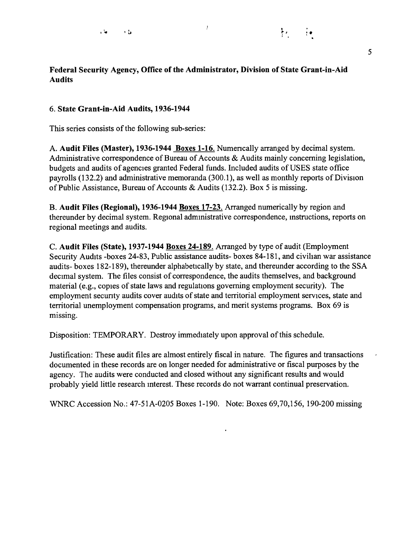## $\frac{1}{2}$

## **Federal Security Agency, Office of the Administrator, Division of State Grant-in-Aid Audits**

#### 6. **State Grant-in-Aid Audits, 1936-1944**

This series consists of the following sub-series:

A. **Audit Files (Master), 1936-1944 Boxes 1-16.** Numencally arranged by decimal system. Administrative correspondence of Bureau of Accounts & Audits mainly concerning legislation, budgets and audits of agencies granted Federal funds. Included audits of USES state office payrolls ( 132.2) and administrative memoranda (300.1 ), as well as monthly reports of Division of Public Assistance, Bureau of Accounts & Audits (132.2). Box 5 is missing.

B. **Audit Files (Regional), 1936-1944 Boxes 17-23.** Arranged numerically by region and thereunder by decimal system. Regional admmistrative correspondence, mstructions, reports on regional meetings and audits.

C. **Audit Files (State), 1937-1944 Boxes 24-189.** Arranged by type of audit (Employment Security Audits -boxes 24-83, Public assistance audits- boxes 84-181, and civilian war assistance audits- boxes 182-189), thereunder alphabetically by state, and thereunder according to the SSA decimal system. The files consist of correspondence, the audits themselves, and background material (e.g., copies of state laws and regulations governing employment security). The employment secunty audits cover audits of state and territorial employment services, state and territorial unemployment compensation programs, and merit systems programs. Box 69 is missing.

Disposition: TEMPORARY. Destroy immediately upon approval of this schedule.

Justification: These audit files are almost entirely fiscal in nature. The figures and transactions documented in these records are on longer needed for administrative or fiscal purposes by the agency. The audits were conducted and closed without any significant results and would probably yield little research mterest. These records do not warrant continual preservation.

WNRC Accession No.: 47-51A-0205 Boxes 1-190. Note: Boxes 69,70,156, 190-200 missing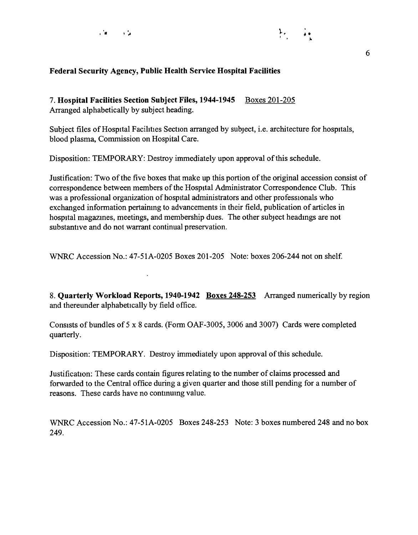



#### **Federal Security Agency, Public Health Service Hospital Facilities**

7. **Hospital Facilities Section Subject Files, 1944-1945** Boxes 201-205 Arranged alphabetically by subject heading.

Subject files of Hospital Facilities Section arranged by subject, i.e. architecture for hospitals, blood plasma, Commission on Hospital Care.

Disposition: TEMPORARY: Destroy immediately upon approval of this schedule.

Justification: Two of the five boxes that make up this portion of the original accession consist of correspondence between members of the Hospital Administrator Correspondence Club. This was a professional organization of hospital administrators and other professionals who exchanged information pertainmg to advancements in their field, publication of articles in hospital magazmes, meetings, and membership dues. The other subject headmgs are not substantive and do not warrant continual preservation.

WNRC Accession No.: 47-51A-0205 Boxes 201-205 Note: boxes 206-244 not on shelf.

 $\ddot{\phantom{a}}$ 

8. **Quarterly Workload Reports, 1940-1942 Boxes 248-253** Arranged numerically by region and thereunder alphabetically by field office.

Consists of bundles of 5 x 8 cards. (Form OAF-3005, 3006 and 3007) Cards were completed quarterly.

Disposition: TEMPORARY. Destroy immediately upon approval of this schedule.

Justification: These cards contain figures relating to the number of claims processed and forwarded to the Central office during a given quarter and those still pending for a number of reasons. These cards have no contmumg value.

WNRC Accession No.: 47-51A-0205 Boxes 248-253 Note: 3 boxes numbered 248 and no box 249.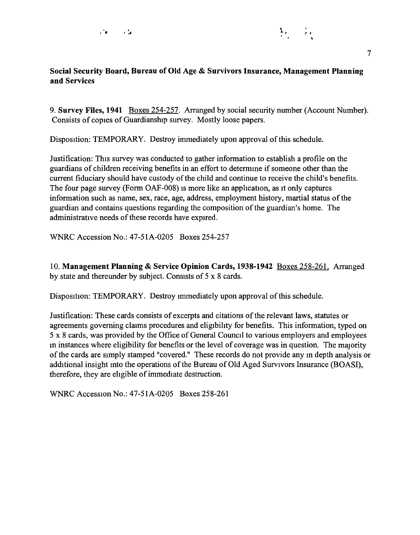

## **Social Security Board, Bureau of Old Age** & **Survivors Insurance, Management Planning and Services**

9. **Survey Files, 1941** Boxes 254-257. Arranged by social security number (Account Number). Consists of copies of Guardianship survey. Mostly loose papers.

Disposition: TEMPORARY. Destroy immediately upon approval of this schedule.

Justification: This survey was conducted to gather information to establish a profile on the guardians of children receiving benefits in an effort to determme if someone other than the current fiduciary should have custody of the child and continue to receive the child's benefits. The four page survey (Form OAF-008) is more like an application, as it only captures information such as name, sex, race, age, address, employment history, martial status of the guardian and contains questions regarding the composition of the guardian's home. The administrative needs of these records have expired.

WNRC Accession No.: 47-5 lA-0205 Boxes 254-257

10. **Management Planning** & **Service Opinion Cards, 1938-1942** Boxes 258-261. Arranged by state and thereunder by subject. Consists of 5 x 8 cards.

Disposition: TEMPORARY. Destroy immediately upon approval of this schedule.

Justification: These cards consists of excerpts and citations of the relevant laws, statutes or agreements governing claims procedures and eligibility for benefits. This information, typed on 5 x 8 cards, was provided by the Office of General Council to various employers and employees in instances where eligibility for benefits or the level of coverage was in question. The majority of the cards are simply stamped "covered." These records do not provide any m depth analysis or additional insight mto the operations of the Bureau of Old Aged Survivors Insurance (BOASI), therefore, they are ehgible of immediate destruction.

WNRC Accession No.: 47-51A-0205 Boxes 258-261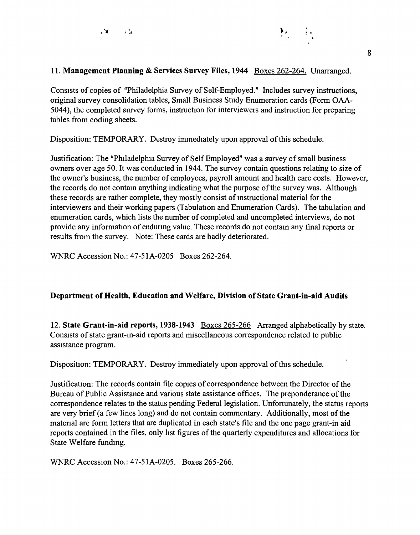

### 11. **Management Planning** & **Services Survey Files, 1944** Boxes 262-264. Unarranged.

Consists of copies of "Philadelphia Survey of Self-Employed." Includes survey instructions, original survey consolidation tables, Small Business Study Enumeration cards (Form OAA-5044), the completed survey forms, instruction for interviewers and instruction for preparing tables from coding sheets.

Disposition: TEMPORARY. Destroy immediately upon approval of this schedule.

Justification: The "Philadelphia Survey of Self Employed" was a survey of small business owners over age 50. It was conducted in 1944. The survey contain questions relating to size of the owner's business, the number of employees, payroll amount and health care costs. However, the records do not contam anything indicating what the purpose of the survey was. Although these records are rather complete, they mostly consist of mstructional material for the interviewers and their working papers (Tabulation and Enumeration Cards). The tabulation and enumeration cards, which lists the number of completed and uncompleted interviews, do not provide any information of endunng value. These records do not contam any final reports or results from the survey. Note: These cards are badly deteriorated.

WNRC Accession No.: 47-51A-0205 Boxes 262-264.

#### **Department of Health, Education and Welfare, Division of State Grant-in-aid Audits**

12. **State Grant-in-aid reports, 1938-1943** Boxes 265-266 Arranged alphabetically by state. Consists of state grant-in-aid reports and miscellaneous correspondence related to public assistance program.

Disposition: TEMPORARY. Destroy immediately upon approval of this schedule.

Justification: The records contain file copies of correspondence between the Director of the Bureau of Public Assistance and various state assistance offices. The preponderance of the correspondence relates to the status pending Federal legislation. Unfortunately, the status reports are very brief (a few lines long) and do not contain commentary. Additionally, most of the matenal are form letters that are duplicated in each state's file and the one page grant-in aid reports contained in the files, only hst figures of the quarterly expenditures and allocations for State Welfare funding.

WNRC Accession No.: 47-51A-0205. Boxes 265-266.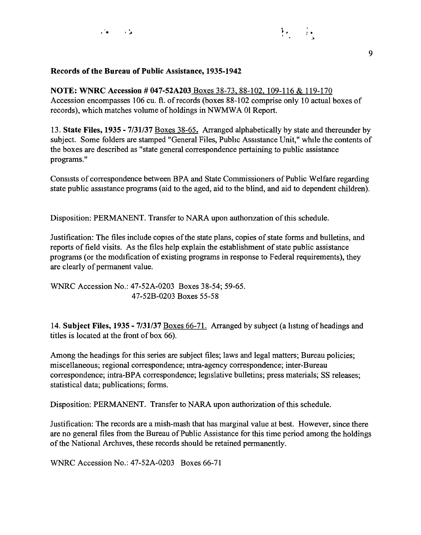

#### **Records of the Bureau of Public Assistance, 1935-1942**

**NOTE: WNRC Accession# 047-52A203** Boxes 38-73, 88-102. 109-116 & 119-170 Accession encompasses 106 cu. ft. of records (boxes 88-102 comprise only 10 actual boxes of records), which matches volume of holdings in NWMWA 01 Report.

13. **State Files, 1935** - **7/31/37** Boxes 38-65. Arranged alphabetically by state and thereunder by subject. Some folders are stamped "General Files, Pubhc Assistance Unit," while the contents of the boxes are described as "state general correspondence pertaining to public assistance programs."

Consists of correspondence between BPA and State Commissioners of Public Welfare regarding state public assistance programs (aid to the aged, aid to the blind, and aid to dependent children).

Disposition: PERMANENT. Transfer to NARA upon authonzation of this schedule.

Justification: The files include copies of the state plans, copies of state forms and bulletins, and reports of field visits. As the files help explain the establishment of state public assistance programs (or the modification of existing programs in response to Federal requirements), they are clearly of permanent value.

WNRC Accession No.: 47-52A-0203 Boxes 38-54; 59-65. 47-52B-0203 Boxes 55-58

14. **Subject Files, 1935** - **7/31/37** Boxes 66-71. Arranged by subject (a hstmg of headings and titles is located at the front of box 66).

Among the headings for this series are subject files; laws and legal matters; Bureau policies; miscellaneous; regional correspondence; mtra-agency correspondence; inter-Bureau correspondence; intra-BPA correspondence; legislative bulletins; press materials; SS releases; statistical data; publications; forms.

Disposition: PERMANENT. Transfer to NARA upon authorization of this schedule.

Justification: The records are a mish-mash that has marginal value at best. However, since there are no general files from the Bureau of Public Assistance for this time period among the holdings of the National Archives, these records should be retained permanently.

WNRC Accession No.: 47-52A-0203 Boxes 66-71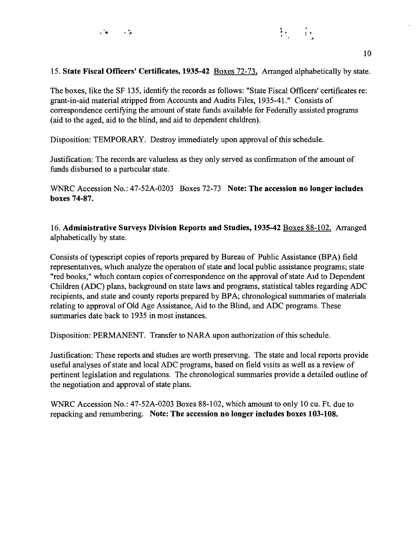

#### 15. **State Fiscal Officers' Certificates, 1935-42** Boxes 72-73. Arranged alphabetically by state.

The boxes, like the SF 135, identify the records as follows: "State Fiscal Officers' certificates re: grant-in-aid material stripped from Accounts and Audits Files, 1935-41." Consists of correspondence certifying the amount of state funds available for Federally assisted programs (aid to the aged, aid to the blind, and aid to dependent children).

Disposition: TEMPORARY. Destroy immediately upon approval of this schedule.

Justification: The records are valueless as they only served as confirmation of the amount of funds disbursed to a particular state.

WNRC Accession No.: 47-52A-0203 Boxes 72-73 **Note: The accession no longer includes boxes 74-87.** 

16. **Administrative Surveys Division Reports and Studies, 1935-42** Boxes 88-102. Arranged alphabetically by state.

Consists of typescript copies of reports prepared by Bureau of Public Assistance (BPA) field representatives, which analyze the operation of state and local public assistance programs; state "red books," which contam copies of correspondence on the approval of state Aid to Dependent Children (ADC) plans, background on state laws and programs, statistical tables regarding ADC recipients, and state and county reports prepared by BPA; chronological summaries of materials relating to approval of Old Age Assistance, Aid to the Blind, and ADC programs. These summaries date back to 1935 in most instances.

Disposition: PERMANENT. Transfer to NARA upon authorization of this schedule.

Justification: These reports and studies are worth preservmg. The state and local reports provide useful analyses of state and local ADC programs, based on field visits as well as a review of pertinent legislation and regulations. The chronological summaries provide a detailed outline of the negotiation and approval of state plans.

WNRC Accession No.: 47-52A-0203 Boxes 88-102, which amount to only 10 cu. Ft. due to repacking and renumbering. **Note: The accession no longer includes boxes 103-108.**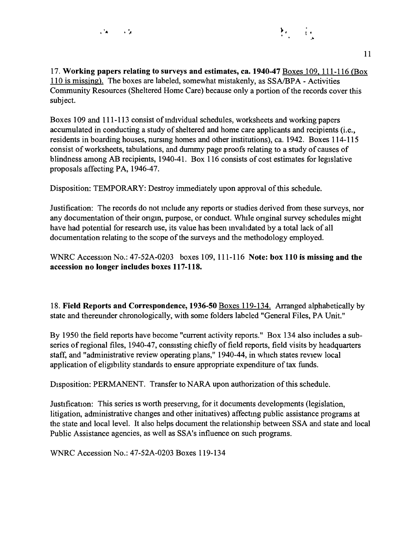

17. **Working papers relating to surveys and estimates, ca. 1940-47** Boxes 109, 111-116 *(Box*  110 is missing). The boxes are labeled, somewhat mistakenly, as SSA/BPA - Activities Community Resources (Sheltered Home Care) because only a portion of the records cover this subject.

Boxes 109 and 111-113 consist of mdividual schedules, worksheets and working papers accumulated in conducting a study of sheltered and home care applicants and recipients (i.e., residents in boarding houses, nursmg homes and other institutions), ca. 1942. Boxes 114-115 consist of worksheets, tabulations, and dummy page proofs relating to a study of causes of blindness among AB recipients, 1940-41. Box 116 consists of cost estimates for legislative proposals affecting PA, 1946-47.

Disposition: TEMPORARY: Destroy immediately upon approval of this schedule.

Justification: The records do not mclude any reports or studies derived from these surveys, nor any documentation of their origin, purpose, or conduct. While original survey schedules might have had potential for research use, its value has been mvahdated by a total lack of all documentation relating to the scope of the surveys and the methodology employed.

WNRC Accession No.: 47-52A-0203 boxes 109, 111-116 **Note: box 110 is missing and the accession no longer includes boxes 117-118.** 

18. **Field Reports and Correspondence, 1936-50** Boxes 119-134. Arranged alphabetically by state and thereunder chronologically, with some folders labeled "General Files, PA Unit."

By 1950 the field reports have become "current activity reports." Box 134 also includes a subseries of regional files, 1940-47, consisting chiefly of field reports, field visits by headquarters staff, and "administrative review operating plans," 1940-44, in which states review local application of eligibility standards to ensure appropriate expenditure of tax funds.

Disposition: PERMANENT. Transfer to NARA upon authorization of this schedule.

Justification: This series is worth preservmg, for it documents developments (legislation, litigation, administrative changes and other initiatives) affecting public assistance programs at the state and local level. It also helps document the relationship between SSA and state and local Public Assistance agencies, as well as SSA's influence on such programs.

WNRC Accession No.: 47-52A-0203 Boxes 119-134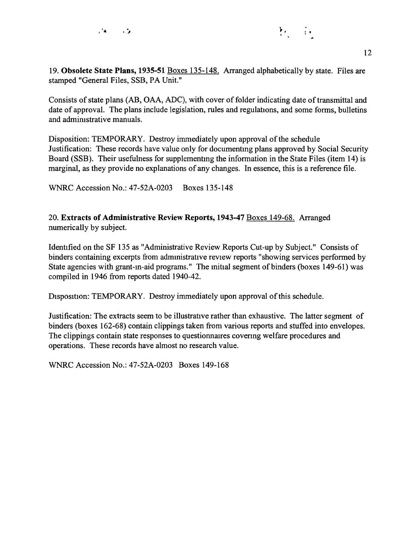

Consists of state plans (AB, OAA, ADC), with cover of folder indicating date of transmittal and date of approval. The plans include legislation, rules and regulations, and some forms, bulletins and admirustrative manuals.

Disposition: TEMPORARY. Destroy immediately upon approval of the schedule Justification: These records have value only for documentmg plans approved by Social Security Board (SSB). Their usefulness for supplementmg the information in the State Files (item 14) is marginal, as they provide no explanations of any changes. In essence, this is a reference file.

WNRC Accession No.: 47-52A-0203 Boxes 135-148

20. **Extracts of Administrative Review Reports, 1943-47** Boxes 149-68. Arranged numerically by subject.

Identified on the SF 135 as "Administrative Review Reports Cut-up by Subject." Consists of binders containing excerpts from admmistrative review reports "showing services performed by State agencies with grant-m-aid programs." The initial segment of binders (boxes 149-61) was compiled in 1946 from reports dated 1940-42.

Disposition: TEMPORARY. Destroy immediately upon approval of this schedule.

Justification: The extracts seem to be illustrative rather than exhaustive. The latter segment of binders (boxes 162-68) contain clippings taken from various reports and stuffed into envelopes. The clippings contain state responses to questionnaires covenng welfare procedures and operations. These records have almost no research value.

WNRC Accession No.: 47-52A-0203 Boxes 149-168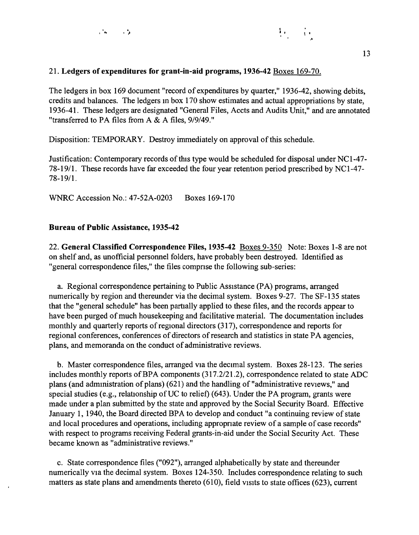

### 21. **Ledgers of expenditures for grant-in-aid programs, 1936-42** Boxes 169-70.

The ledgers in box 169 document "record of expenditures by quarter," 1936-42, showing debits, credits and balances. The ledgers m box 170 show estimates and actual appropriations by state, 1936-41. These ledgers are designated "General Files, Accts and Audits Unit," and are annotated "transferred to PA files from A & A files, 9/9/49."

Disposition: TEMPORARY. Destroy immediately on approval of this schedule.

Justification: Contemporary records of this type would be scheduled for disposal under NCl-47- 78-19/1. These records have far exceeded the four year retention period prescribed by NCl-47- 78-19/1.

WNRC Accession No.: 47-52A-0203 Boxes 169-170

#### **Bureau of Public Assistance, 1935-42**

22. **General Classified Correspondence Files, 1935-42** Boxes 9-350 Note: Boxes 1-8 are not on shelf and, as unofficial personnel folders, have probably been destroyed. Identified as "general correspondence files," the files compnse the following sub-series:

a. Regional correspondence pertaining to Public Assistance (PA) programs, arranged numerically by region and thereunder via the decimal system. Boxes 9-27. The SF-135 states that the "general schedule" has been partially applied to these files, and the records appear to have been purged of much housekeeping and facilitative material. The documentation includes monthly and quarterly reports of regional directors (317), correspondence and reports for regional conferences, conferences of directors of research and statistics in state PA agencies, plans, and memoranda on the conduct of administrative reviews.

b. Master correspondence files, arranged via the decimal system. Boxes 28-123. The series includes monthly reports of BPA components (317.2/21.2), correspondence related to state ADC plans (and administration of plans) (621) and the handling of "administrative reviews," and special studies (e.g., relationship of UC to relief) (643). Under the PA program, grants were made under a plan submitted by the state and approved by the Social Security Board. Effective January 1, 1940, the Board directed BPA to develop and conduct "a continuing review of state and local procedures and operations, including appropnate review of a sample of case records" with respect to programs receiving Federal grants-in-aid under the Social Security Act. These became known as "administrative reviews."

c. State correspondence files ("092"), arranged alphabetically by state and thereunder numerically via the decimal system. Boxes 124-350. Includes correspondence relating to such matters as state plans and amendments thereto  $(610)$ , field visits to state offices  $(623)$ , current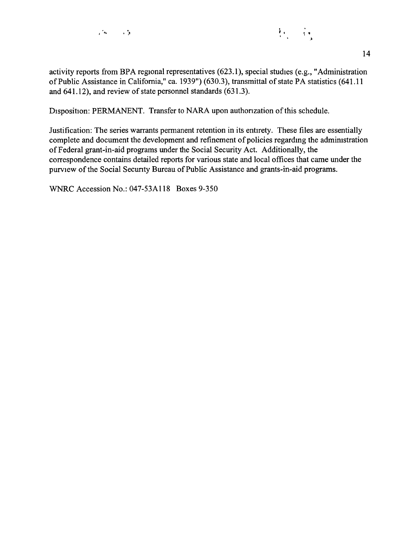



activity reports from BPA regional representatives (623.1), special studies (e.g., "Administration of Public Assistance in California," ca. 1939") (630.3), transmittal of state PA statistics (641.11 and 641.12), and review of state personnel standards (631.3).

Disposition: PERMANENT. Transfer to NARA upon authonzation of this schedule.

Justification: The series warrants permanent retention in its entirety. These files are essentially complete and document the development and refinement of policies regarding the administration of Federal grant-in-aid programs under the Social Security Act. Additionally, the correspondence contains detailed reports for various state and local offices that came under the purview of the Social Secunty Bureau of Public Assistance and grants-in-aid programs.

WNRC Accession No.: 047-53Al 18 Boxes 9-350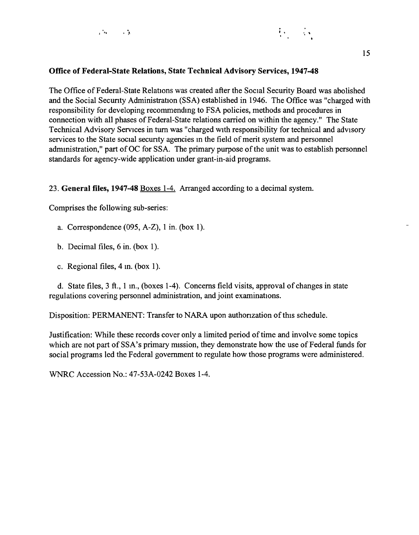

## **Office of Federal-State Relations, State Technical Advisory Services, 1947-48**

The Office of Federal-State Relations was created after the Social Security Board was abolished and the Social Secunty Administration (SSA) established in 1946. The Office was "charged with responsibility for developing recommendmg to FSA policies, methods and procedures in connection with all phases of Federal-State relations carried on within the agency." The State Technical Advisory Services in tum was "charged with responsibility for technical and advisory services to the State social secunty agencies m the field of merit system and personnel admmistration," part of OC for SSA. The primary purpose of the unit was to establish personnel standards for agency-wide application under grant-in-aid programs.

#### 23. **General files, 1947-48** Boxes 1-4. Arranged according to a decimal system.

Comprises the following sub-series:

- a. Correspondence (095, A-Z), 1 in. (box 1).
- b. Decimal files,  $6$  in. (box 1).
- c. Regional files, 4 in. (box 1).

d. State files, 3 ft., 1 m., (boxes 1-4). Concerns field visits, approval of changes in state regulations covering personnel administration, and joint examinations.

Disposition: PERMANENT: Transfer to NARA upon authonzation of this schedule.

Justification: While these records cover only a limited period of time and involve some topics which are not part of SSA's primary mission, they demonstrate how the use of Federal funds for social programs led the Federal government to regulate how those programs were administered.

WNRC Accession No.: 47-53A-0242 Boxes 1-4.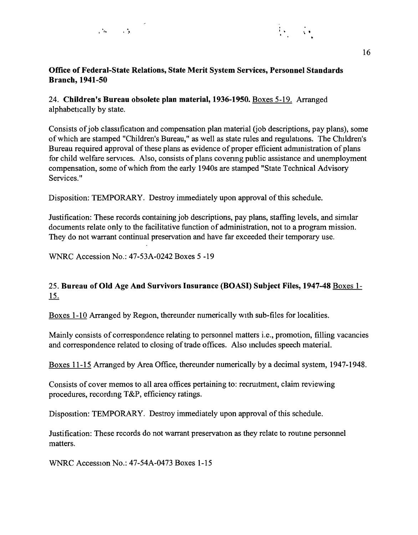

## **Office of Federal-State Relations, State Merit System Services, Personnel Standards Branch, 1941-50**

24. **Children's Bureau obsolete plan material, 1936-1950.** Boxes 5-19. Arranged alphabetically by state.

Consists of job classification and compensation plan material (job descriptions, pay plans), some of which are stamped "Children's Bureau," as well as state rules and regulations. The Children's Bureau required approval of these plans as evidence of proper efficient admmistration of plans for child welfare services. Also, consists of plans covenng public assistance and unemployment compensation, some of which from the early 1940s are stamped "State Technical Advisory Services."

Disposition: TEMPORARY. Destroy immediately upon approval of this schedule.

Justification: These records containing job descriptions, pay plans, staffing levels, and similar documents relate only to the facilitative function of administration, not to a program mission. They do not warrant continual preservation and have far exceeded their temporary use.

WNRC Accession No.: 47-53A-0242 Boxes 5 -19

## 25. **Bureau of Old Age And Survivors Insurance (BOASI) Subject Files, 1947-48** Boxes 1- 15.

Boxes 1-10 Arranged by Region, thereunder numerically with sub-files for localities.

Mainly consists of correspondence relating to personnel matters i.e., promotion, filling vacancies and correspondence related to closing of trade offices. Also mcludes speech material.

Boxes 11-15 Arranged by Area Office, thereunder numerically by a decimal system, 1947-1948.

Consists of cover memos to all area offices pertaining to: recruitment, claim reviewing procedures, recording T&P, efficiency ratings.

Disposition: TEMPORARY. Destroy immediately upon approval of this schedule.

Justification: These records do not warrant preservation as they relate to routme personnel matters.

WNRC Accession No.: 47-54A-0473 Boxes 1-15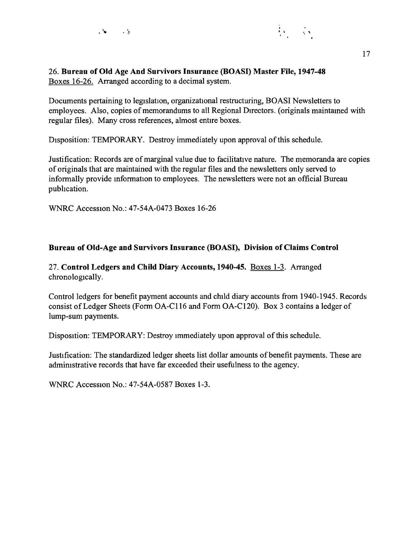

#### 26. **Bureau of Old Age And Survivors Insurance (BOASI) Master File, 1947-48**  Boxes 16-26. Arranged according to a decimal system.

Documents pertaining to legislation, organizational restructuring, BOAS! Newsletters to employees. Also, copies of memorandums to all Regional Directors. (originals maintamed with regular files). Many cross references, almost entire boxes.

Disposition: TEMPORARY. Destroy immediately upon approval of this schedule.

Justification: Records are of marginal value due to facilitative nature. The memoranda are copies of originals that are maintained with the regular files and the newsletters only served to informally provide mformation to employees. The newsletters were not an official Bureau publication.

WNRC Accession No.: 47-54A-0473 Boxes 16-26

## **Bureau of Old-Age and Survivors Insurance (BOASI), Division of Claims Control**

27. **Control Ledgers and Child Diary Accounts, 1940-45.** Boxes 1-3. Arranged chronologically.

Control ledgers for benefit payment accounts and child diary accounts from 1940-1945. Records consist of Ledger Sheets (Form OA-Cl 16 and Form OA-Cl20). Box 3 contains a ledger of lump-sum payments.

Disposition: TEMPORARY: Destroy immediately upon approval of this schedule.

Justification: The standardized ledger sheets list dollar amounts of benefit payments. These are admimstrative records that have far exceeded their usefulness to the agency.

WNRC Accession No.: 47-54A-0587 Boxes 1-3.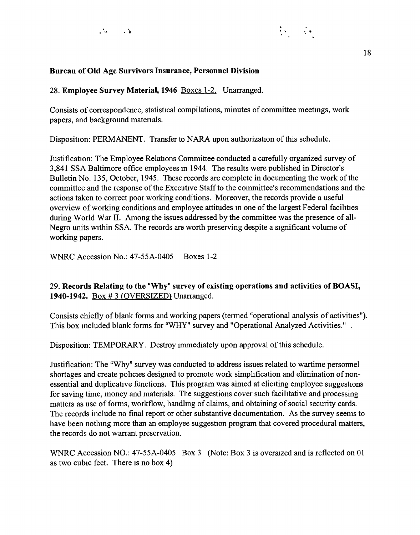

#### **Bureau of Old Age Survivors Insurance, Personnel Division**

### 28. **Employee Survey Material, 1946** Boxes 1-2. Unarranged.

Consists of correspondence, statistical compilations, minutes of committee meetmgs, work papers, and background matenals.

Disposition: PERMANENT. Transfer to NARA upon authorization of this schedule.

Justification: The Employee Relations Committee conducted a carefully organized survey of 3,841 SSA Baltimore office employees m 1944. The results were published in Director's Bulletin No. 135, October, 1945. These records are complete in documenting the work of the committee and the response of the Executive Staff to the committee's recommendations and the actions taken to correct poor working conditions. Moreover, the records provide a useful overview of working conditions and employee attitudes m one of the largest Federal facihties during World War II. Among the issues addressed by the committee was the presence of all-Negro units within SSA. The records are worth preserving despite a significant volume of working papers.

WNRC Accession No.: 47-55A-0405 Boxes 1-2

## 29. **Records Relating to the "Why" survey of existing operations and activities of BOAS** I, **1940-1942.** Box #3 (OVERSIZED) Unarranged.

Consists chiefly of blank forms and working papers (termed "operational analysis of activities"). This box mcluded blank forms for "WHY" survey and "Operational Analyzed Activities."

Disposition: TEMPORARY. Destroy unmediately upon approval of this schedule.

Justification: The "Why" survey was conducted to address issues related to wartime personnel shortages and create pohcies designed to promote work simphfication and elimination of nonessential and duplicative functions. This program was aimed at eliciting employee suggestions for saving time, money and materials. The suggestions cover such facihtative and processing matters as use of forms, workflow, handlmg of claims, and obtaining of social security cards. The records include no final report or other substantive documentation. As the survey seems to have been nothmg more than an employee suggestion program that covered procedural matters, the records do not warrant preservation.

WNRC Accession NO.: 47-55A-0405 Box 3 (Note: Box 3 is oversized and is reflected on 01 as two cubic feet. There is no box 4)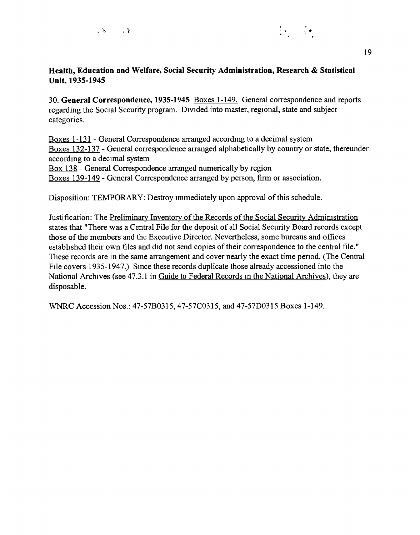

30. **General Correspondence, 1935-1945** Boxes 1-149. General correspondence and reports regarding the Social Security program. Divided into master, regional, state and subject categories.

Boxes 1-131 - General Correspondence arranged accordmg to a decimal system Boxes 132-137 - General correspondence arranged alphabetically by country or state, thereunder accordmg to a decimal system

Box 138 - General Correspondence arranged numerically by region

Boxes 139-149 - General Correspondence arranged by person, firm or association.

Disposition: TEMPORARY: Destroy immediately upon approval of this schedule.

Justification: The Preliminary Inventory of the Records of the Social Security Admimstration states that "There was a Central File for the deposit of all Social Security Board records except those of the members and the Executive Director. Nevertheless, some bureaus and offices established their own files and did not send copies of their correspondence to the central file." These records are in the same arrangement and cover nearly the exact time penod. (The Central File covers 1935-1947.) Smee these records duplicate those already accessioned into the National Archives (see 47.3.1 in Guide to Federal Records m the National Archives), they are disposable.

WNRC Accession Nos.: 47-57B0315, 47-57C0315, and 47-57D0315 Boxes 1-149.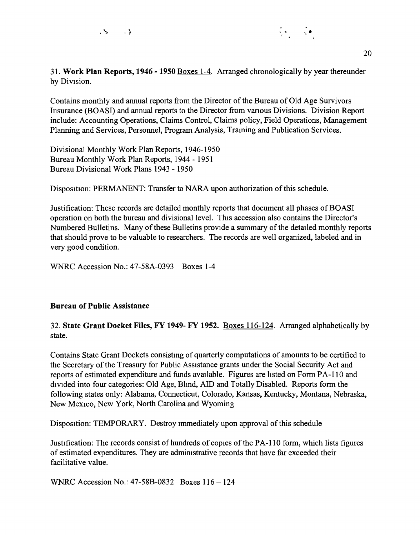

Contains monthly and annual reports from the Director of the Bureau of Old Age Survivors Insurance (BOASI) and annual reports to the Director from vanous Divisions. Division Report include: Accounting Operations, Claims Control, Claims policy, Field Operations, Management Planning and Services, Personnel, Program Analysis, Traming and Publication Services.

Divisional Monthly Work Plan Reports, 1946-1950 Bureau Monthly Work Plan Reports, 1944 - 1951 Bureau Divisional Work Plans 1943 - 1950

Disposition: PERMANENT: Transfer to NARA upon authorization of this schedule.

Justification: These records are detailed monthly reports that document all phases of BOASI operation on both the bureau and divisional level. This accession also contains the Director's Numbered Bulletins. Many of these Bulletins provide a summary of the detailed monthly reports that should prove to be valuable to researchers. The records are well organized, labeled and in very good condition.

WNRC Accession No.: 47-58A-0393 Boxes 1-4

#### **Bureau of Public Assistance**

32. **State Grant Docket Files, FY 1949- FY 1952.** Boxes 116-124. Arranged alphabetically by state.

Contains State Grant Dockets consistmg of quarterly computations of amounts to be certified to the Secretary of the Treasury for Public Assistance grants under the Social Security Act and reports of estimated expenditure and funds available. Figures are hsted on Form PA-110 and divided into four categories: Old Age, Blmd, AID and Totally Disabled. Reports form the following states only: Alabama, Connecticut, Colorado, Kansas, Kentucky, Montana, Nebraska, New Mexico, New York, North Carolina and Wyoming

Disposition: TEMPORARY. Destroy immediately upon approval of this schedule

Justification: The records consist of hundreds of copies of the PA-110 form, which lists figures of estimated expenditures. They are admimstrative records that have far exceeded their facilitative value.

WNRC Accession No.: 47-SSB-0832 Boxes 116 - 124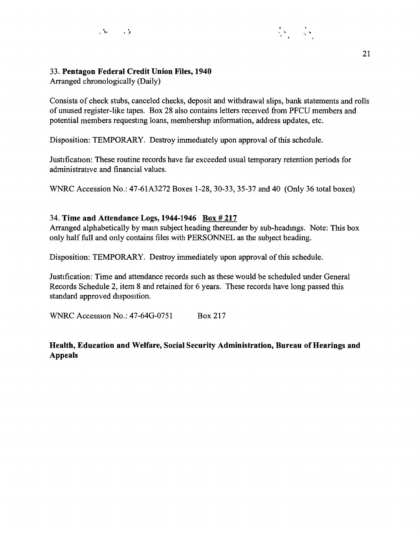

## 33. **Pentagon Federal Credit Union Files, 1940**

Arranged chronologically (Daily)

Consists of check stubs, canceled checks, deposit and withdrawal slips, bank statements and rolls of unused register-like tapes. Box 28 also contains letters received from PFCU members and potential members requestmg loans, membership mformation, address updates, etc.

Disposition: TEMPORARY. Destroy immediately upon approval of this schedule.

Justification: These routine records have far exceeded usual temporary retention periods for administrative and financial values.

WNRC Accession No.: 47-61A3272 Boxes 1-28, 30-33, 35-37 and 40 (Only 36 total boxes)

## 34. **Time and Attendance Logs, 1944-1946 Box# 217**

Arranged alphabetically by mam subject heading thereunder by sub-headmgs. Note: This box only half full and only contains files with PERSONNEL as the subject heading.

Disposition: TEMPORARY. Destroy immediately upon approval of this schedule.

Justification: Time and attendance records such as these would be scheduled under General Records Schedule 2, item 8 and retained for 6 years. These records have long passed this standard approved disposition.

WNRC Accession No.: 47-64G-0751 Box 217

**Health, Education and Welfare, Social Security Administration, Bureau of Hearings and Appeals**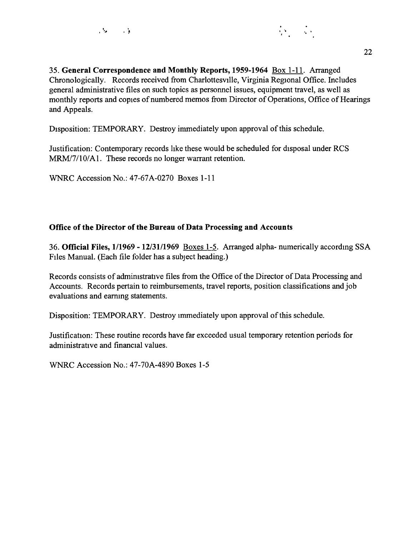

35. **General Correspondence and Monthly Reports, 1959-1964** Box 1-11. Arranged Chronologically. Records received from Charlottesville, Virginia Regional Office. Includes general administrative files on such topics as personnel issues, equipment travel, as well as monthly reports and copies of numbered memos from Director of Operations, Office of Hearings and Appeals.

Disposition: TEMPORARY. Destroy immediately upon approval of this schedule.

Justification: Contemporary records hke these would be scheduled for disposal under RCS MRM/7/10/A1. These records no longer warrant retention.

WNRC Accession No.: 47-67A-0270 Boxes 1-11

## **Office of the Director of the Bureau of Data Processing and Accounts**

36. **Official Files, 1/1969** - **12/31/1969** Boxes 1-5. Arranged alpha- numerically accordmg SSA Files Manual. (Each file folder has a subject heading.)

Records consists of administrative files from the Office of the Director of Data Processing and Accounts. Records pertain to reimbursements, travel reports, position classifications and job evaluations and earning statements.

Disposition: TEMPORARY. Destroy immediately upon approval of this schedule.

Justification: These routine records have far exceeded usual temporary retention periods for administrative and financial values.

WNRC Accession No.: 47-70A-4890 Boxes 1-5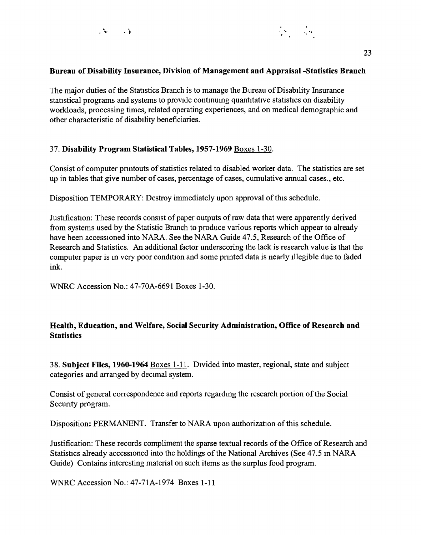

#### **Bureau of Disability Insurance, Division of Management and Appraisal -Statistics Branch**

The major duties of the Statistics Branch is to manage the Bureau of Disability Insurance statistical programs and systems to provide contmumg quantitative statistics on disability workloads, processing times, related operating experiences, and on medical demographic and other characteristic of disabllity beneficiaries.

#### 37. **Disability Program Statistical Tables, 1957-1969** Boxes 1-30.

Consist of computer pnntouts of statistics related to disabled worker data. The statistics are set up in tables that give number of cases, percentage of cases, cumulative annual cases., etc.

Disposition TEMPORARY: Destroy immediately upon approval of this schedule.

Justification: These records consist of paper outputs of raw data that were apparently derived from systems used by the Statistic Branch to produce various reports which appear to already have been accessioned into NARA. See the NARA Guide 47.5, Research of the Office of Research and Statistics. An additional factor underscoring the lack is research value is that the computer paper is in very poor condition and some printed data is nearly illegible due to faded ink.

WNRC Accession No.: 47-70A-6691 Boxes 1-30.

## **Health, Education, and Welfare, Social Security Administration, Office of Research and Statistics**

38. **Subject Files, 1960-1964** Boxes 1-11. Divided into master, regional, state and subject categories and arranged by decimal system.

Consist of general correspondence and reports regardmg the research portion of the Social Secunty program.

Disposition: PERMANENT. Transfer to NARA upon authorization of this schedule.

Justification: These records compliment the sparse textual records of the Office of Research and Statistics already accessioned into the holdings of the National Archives (See 47.5 m NARA Guide) Contains interesting material on such items as the surplus food program.

WNRC Accession No.: 47-71A-1974 Boxes 1-11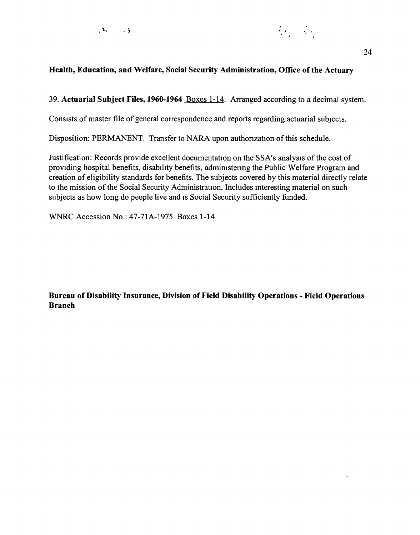



## **Health, Education, and Welfare, Social Security Administration, Office of the Actuary**

39. **Actuarial Subject Files, 1960-1964** Boxes 1-14. Arranged according to a decimal system.

Consists of master file of general correspondence and reports regarding actuarial subjects.

Disposition: PERMANENT. Transfer to NARA upon authorization of this schedule.

Justification: Records provide excellent documentation on the SSA's analysis of the cost of providing hospital benefits, disability benefits, admimstenng the Public Welfare Program and creation of eligibility standards for benefits. The subjects covered by this material directly relate to the mission of the Social Security Administration. Includes mteresting material on such subjects as how long do people live and is Social Security sufficiently funded.

WNRC Accession No.: 47-71A-1975 Boxes 1-14

**Bureau of Disability Insurance, Division of Field Disability Operations - Field Operations Branch**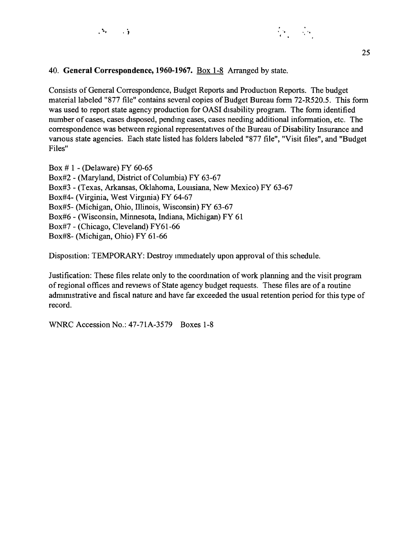

### 40. **General Correspondence, 1960-1967.** Box 1-8 Arranged by state.

Consists of General Correspondence, Budget Reports and Production Reports. The budget material labeled "877 file" contains several copies of Budget Bureau form 72-R520.5. This form was used to report state agency production for OASI disability program. The form identified number of cases, cases disposed, pendmg cases, cases needing additional information, etc. The correspondence was between regional representatives of the Bureau of Disability Insurance and vanous state agencies. Each state listed has folders labeled "877 file", "Visit files", and "Budget Files"

Box # 1 - (Delaware) FY 60-65 Box#2 - (Maryland, District of Columbia) FY 63-67 Box#3 - (Texas, Arkansas, Oklahoma, Lomsiana, New Mexico) FY 63-67 Box#4- (Virginia, West Virginia) FY 64-67 Box#5- (Michigan, Ohio, Illinois, Wisconsin) FY 63-67 Box#6 - (Wisconsin, Minnesota, Indiana, Michigan) FY 61 Box#7 - (Chicago, Cleveland) FY61-66 Box#8- (Michigan, Ohio) FY 61-66

Disposition: TEMPORARY: Destroy immediately upon approval of this schedule.

Justification: These files relate only to the coordmation of work planning and the visit program of regional offices and reviews of State agency budget requests. These files are of a routine admmistrative and fiscal nature and have far exceeded the usual retention period for this type of record.

WNRC Accession No.: 47-71A-3579 Boxes 1-8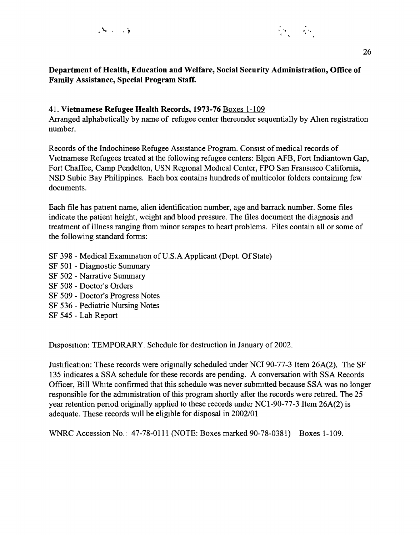

## **Department of Health, Education and Welfare, Social Security Administration, Office of Family Assistance, Special Program Staff.**

## 41. **Vietnamese Refugee Health Records, 1973-76** Boxes 1-109

Arranged alphabetically by name of refugee center thereunder sequentially by Alien registration number.

Records of the Indochinese Refugee Assistance Program. Consist of medical records of Vietnamese Refugees treated at the following refugee centers: Elgen AFB, Fort Indiantown Gap, Fort Chaffee, Camp Pendelton, USN Regional Medical Center, FPO San Fransisco California, NSD Subic Bay Philippines. Each box contains hundreds of multicolor folders contaimng few documents.

Each file has patient name, alien identification number, age and barrack number. Some files indicate the patient height, weight and blood pressure. The files document the diagnosis and treatment of illness ranging from minor scrapes to heart problems. Files contain all or some of the following standard forms:

- SF 398 Medical Examination of U.S.A Applicant (Dept. Of State)
- SF 501 Diagnostic Summary
- SF 502 Narrative Summary
- SF 508 Doctor's Orders
- SF 509 Doctor's Progress Notes
- SF 536 Pediatric Nursing Notes
- SF 545 Lab Report

Disposition: TEMPORARY. Schedule for destruction in January of 2002.

Justification: These records were origmally scheduled under NCI 90-77-3 Item 26A(2). The SF 135 indicates a SSA schedule for these records are pending. A conversation with SSA Records Officer, Bill White confirmed that this schedule was never submitted because SSA was no longer responsible for the admmistration of this program shortly after the records were retired. The 25 year retention penod originally applied to these records under NC 1-90-77-3 Item 26A(2) is adequate. These records will be eligible for disposal in 2002/01

WNRC Accession No.: 47-78-0111 (NOTE: Boxes marked 90-78-0381) Boxes 1-109.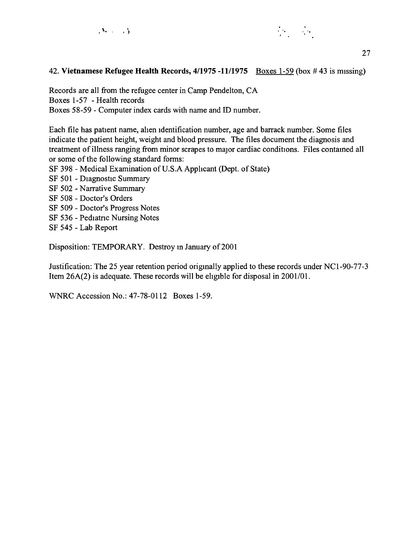



### 42. **Vietnamese Refugee Health Records, 4/1975 -11/1975** Boxes 1-59 (box #43 is missing)

Records are all from the refugee center in Camp Pendelton, CA Boxes 1-57 - Health records Boxes 58-59 - Computer index cards with name and ID number.

Each file has patient name, ahen identification number, age and barrack number. Some files indicate the patient height, weight and blood pressure. The files document the diagnosis and treatment of illness ranging from minor scrapes to major cardiac conditions. Files contained all or some of the following standard forms:

- SF 398 Medical Examination of U.S.A Applicant (Dept. of State)
- SF 501 Diagnostic Summary
- SF 502 Narrative Summary
- SF 508 Doctor's Orders
- SF 509 Doctor's Progress Notes
- SF 536 Pediatric Nursing Notes
- SF 545 Lab Report

Disposition: TEMPORARY. Destroy in January of 2001

Justification: The 25 year retention period origmally applied to these records under NCl-90-77-3 Item 26A(2) is adequate. These records will be eligible for disposal in 2001/01.

WNRC Accession No.: 47-78-0112 Boxes 1-59.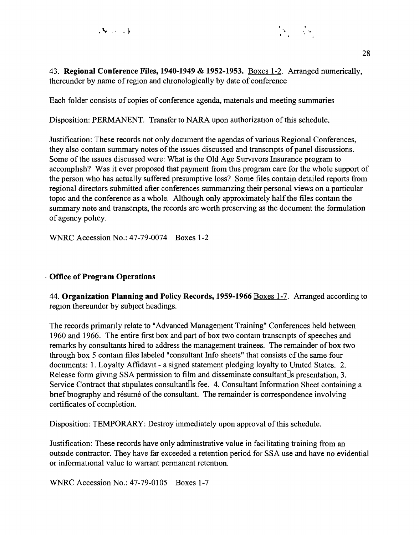

43. **Regional Conference Files, 1940-1949 & 1952-1953.** Boxes 1-2. Arranged numerically, thereunder by name of region and chronologically by date of conference

Each folder consists of copies of conference agenda, matenals and meeting summaries

Disposition: PERMANENT. Transfer to NARA upon authorization of this schedule.

Justification: These records not only document the agendas of various Regional Conferences, they also contam summary notes of the issues discussed and transcnpts of panel discussions. Some of the issues discussed were: What is the Old Age Survivors Insurance program to accomphsh? Was it ever proposed that payment from this program care for the whole support of the person who has actually suffered presumptive loss? Some files contain detailed reports from regional directors submitted after conferences summanzing their personal views on a particular topic and the conference as a whole. Although only approximately half the files contam the summary note and transcripts, the records are worth preserving as the document the formulation of agency pohcy.

WNRC Accession No.: 47-79-0074 Boxes 1-2

## . **Office of Program Operations**

44. **Organization Planning and Policy Records, 1959-1966** Boxes 1-7. Arranged according to region thereunder by subject headings.

The records primanly relate to "Advanced Management Training" Conferences held between 1960 and 1966. The entire first box and part of box two contain transcripts of speeches and remarks by consultants hired to address the management trainees. The remainder of box two through box 5 contam files labeled "consultant Info sheets" that consists of the same four documents: 1. Loyalty Affidavit - a signed statement pledging loyalty to Umted States. 2. Release form giving SSA permission to film and disseminate consultant<sup>n</sup>s presentation, 3. Service Contract that stipulates consultant $\Box$ s fee. 4. Consultant Information Sheet containing a brief biography and résume of the consultant. The remainder is correspondence involving certificates of completion.

Disposition: TEMPORARY: Destroy immediately upon approval of this schedule.

Justification: These records have only admimstrative value in facilitating training from an outside contractor. They have far exceeded a retention period for SSA use and have no evidential or informational value to warrant permanent retention.

WNRC Accession No.: 47-79-0105 Boxes 1-7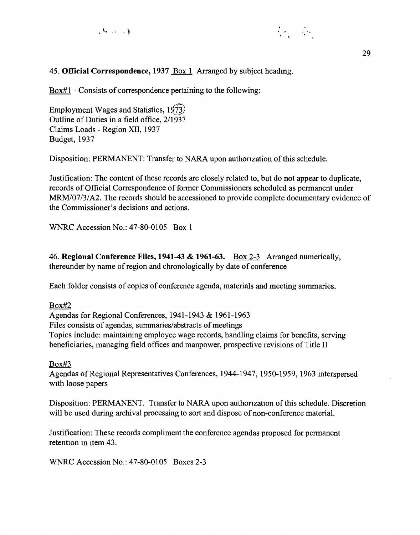



## 45. **Official Correspondence, 1937** Box 1 Arranged by subject headmg.

Box#l - Consists of correspondence pertaining to the following:

Employment Wages and Statistics,  $1973$ Outline of Duties in a field office, 2/1937 Claims Loads - Region XII, 1937 Budget, 1937

Disposition: PERMANENT: Transfer to NARA upon authonzation of this schedule.

Justification: The content of these records are closely related to, but do not appear to duplicate, records of Official Correspondence of former Commissioners scheduled as permanent under MRM/07/3/A2. The records should be accessioned to provide complete documentary evidence of the Commissioner's decisions and actions.

WNRC Accession No.: 47-80-0105 Box 1

46. **Regional Conference Files, 1941-43 & 1961-63.** Box 2-3 Arranged numerically, thereunder by name of region and chronologically by date of conference

Each folder consists of copies of conference agenda, materials and meeting summaries.

Box#2

Agendas for Regional Conferences, 1941-1943 & 1961-1963 Files consists of agendas, summaries/abstracts of meetings Topics include: maintaining employee wage records, handling claims for benefits, serving beneficiaries, managing field offices and manpower, prospective revisions of Title II

Box#3

Agendas of Regional Representatives Conferences, 1944-1947, 1950-1959, 1963 interspersed with loose papers

Disposition: PERMANENT. Transfer to NARA upon authonzation of this schedule. Discretion will be used during archival processing to sort and dispose of non-conference material.

Justification: These records compliment the conference agendas proposed for permanent retention in item 43.

WNRC Accession No.: 47-80-0105 Boxes 2-3